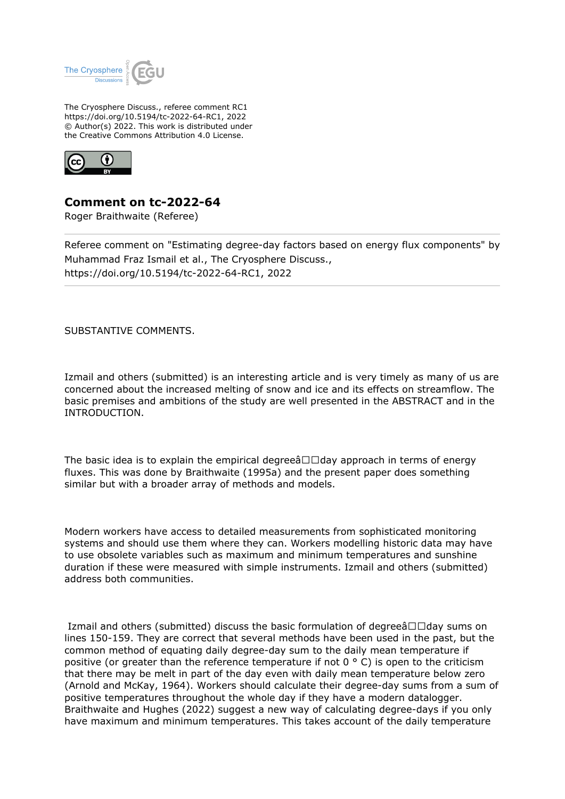

The Cryosphere Discuss., referee comment RC1 https://doi.org/10.5194/tc-2022-64-RC1, 2022 © Author(s) 2022. This work is distributed under the Creative Commons Attribution 4.0 License.



**Comment on tc-2022-64**

Roger Braithwaite (Referee)

Referee comment on "Estimating degree-day factors based on energy flux components" by Muhammad Fraz Ismail et al., The Cryosphere Discuss., https://doi.org/10.5194/tc-2022-64-RC1, 2022

SUBSTANTIVE COMMENTS.

Izmail and others (submitted) is an interesting article and is very timely as many of us are concerned about the increased melting of snow and ice and its effects on streamflow. The basic premises and ambitions of the study are well presented in the ABSTRACT and in the INTRODUCTION.

The basic idea is to explain the empirical degree $\hat{a} \Box \Box d$ ay approach in terms of energy fluxes. This was done by Braithwaite (1995a) and the present paper does something similar but with a broader array of methods and models.

Modern workers have access to detailed measurements from sophisticated monitoring systems and should use them where they can. Workers modelling historic data may have to use obsolete variables such as maximum and minimum temperatures and sunshine duration if these were measured with simple instruments. Izmail and others (submitted) address both communities.

Izmail and others (submitted) discuss the basic formulation of degree $\hat{a}\Box\Box$ day sums on lines 150-159. They are correct that several methods have been used in the past, but the common method of equating daily degree-day sum to the daily mean temperature if positive (or greater than the reference temperature if not  $0^\circ$  C) is open to the criticism that there may be melt in part of the day even with daily mean temperature below zero (Arnold and McKay, 1964). Workers should calculate their degree-day sums from a sum of positive temperatures throughout the whole day if they have a modern datalogger. Braithwaite and Hughes (2022) suggest a new way of calculating degree-days if you only have maximum and minimum temperatures. This takes account of the daily temperature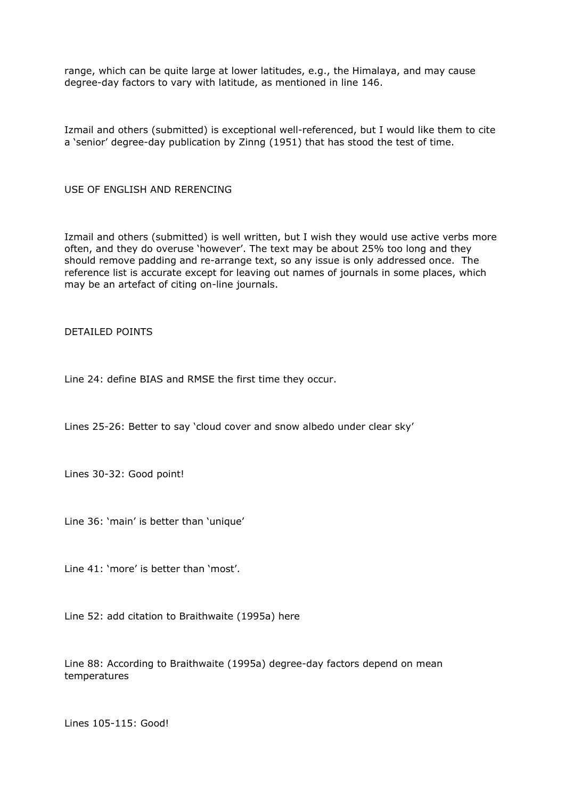range, which can be quite large at lower latitudes, e.g., the Himalaya, and may cause degree-day factors to vary with latitude, as mentioned in line 146.

Izmail and others (submitted) is exceptional well-referenced, but I would like them to cite a 'senior' degree-day publication by Zinng (1951) that has stood the test of time.

USE OF ENGLISH AND RERENCING

Izmail and others (submitted) is well written, but I wish they would use active verbs more often, and they do overuse 'however'. The text may be about 25% too long and they should remove padding and re-arrange text, so any issue is only addressed once. The reference list is accurate except for leaving out names of journals in some places, which may be an artefact of citing on-line journals.

DETAILED POINTS

Line 24: define BIAS and RMSE the first time they occur.

Lines 25-26: Better to say 'cloud cover and snow albedo under clear sky'

Lines 30-32: Good point!

Line 36: 'main' is better than 'unique'

Line 41: 'more' is better than 'most'.

Line 52: add citation to Braithwaite (1995a) here

Line 88: According to Braithwaite (1995a) degree-day factors depend on mean temperatures

Lines 105-115: Good!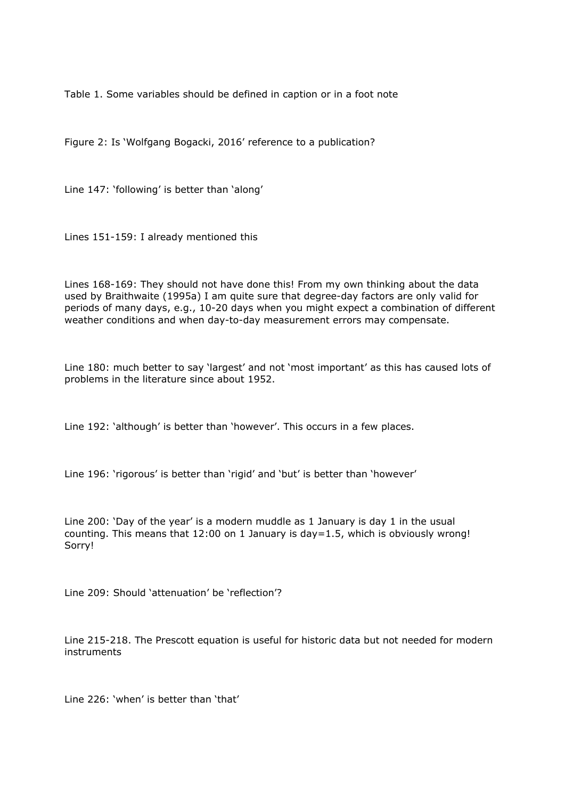Table 1. Some variables should be defined in caption or in a foot note

Figure 2: Is 'Wolfgang Bogacki, 2016' reference to a publication?

Line 147: 'following' is better than 'along'

Lines 151-159: I already mentioned this

Lines 168-169: They should not have done this! From my own thinking about the data used by Braithwaite (1995a) I am quite sure that degree-day factors are only valid for periods of many days, e.g., 10-20 days when you might expect a combination of different weather conditions and when day-to-day measurement errors may compensate.

Line 180: much better to say 'largest' and not 'most important' as this has caused lots of problems in the literature since about 1952.

Line 192: 'although' is better than 'however'. This occurs in a few places.

Line 196: 'rigorous' is better than 'rigid' and 'but' is better than 'however'

Line 200: 'Day of the year' is a modern muddle as 1 January is day 1 in the usual counting. This means that 12:00 on 1 January is day=1.5, which is obviously wrong! Sorry!

Line 209: Should 'attenuation' be 'reflection'?

Line 215-218. The Prescott equation is useful for historic data but not needed for modern instruments

Line 226: 'when' is better than 'that'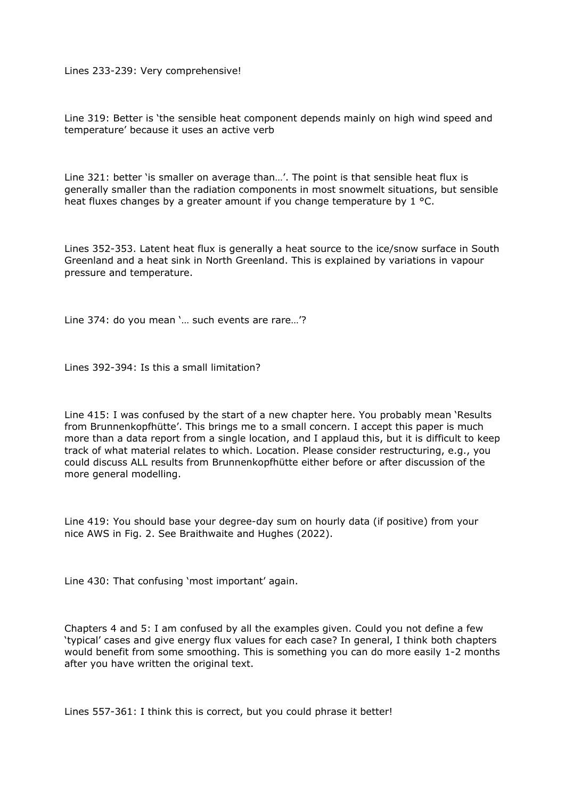Lines 233-239: Very comprehensive!

Line 319: Better is 'the sensible heat component depends mainly on high wind speed and temperature' because it uses an active verb

Line 321: better 'is smaller on average than…'. The point is that sensible heat flux is generally smaller than the radiation components in most snowmelt situations, but sensible heat fluxes changes by a greater amount if you change temperature by 1 °C.

Lines 352-353. Latent heat flux is generally a heat source to the ice/snow surface in South Greenland and a heat sink in North Greenland. This is explained by variations in vapour pressure and temperature.

Line 374: do you mean '… such events are rare…'?

Lines 392-394: Is this a small limitation?

Line 415: I was confused by the start of a new chapter here. You probably mean 'Results from Brunnenkopfhütte'. This brings me to a small concern. I accept this paper is much more than a data report from a single location, and I applaud this, but it is difficult to keep track of what material relates to which. Location. Please consider restructuring, e.g., you could discuss ALL results from Brunnenkopfhütte either before or after discussion of the more general modelling.

Line 419: You should base your degree-day sum on hourly data (if positive) from your nice AWS in Fig. 2. See Braithwaite and Hughes (2022).

Line 430: That confusing 'most important' again.

Chapters 4 and 5: I am confused by all the examples given. Could you not define a few 'typical' cases and give energy flux values for each case? In general, I think both chapters would benefit from some smoothing. This is something you can do more easily 1-2 months after you have written the original text.

Lines 557-361: I think this is correct, but you could phrase it better!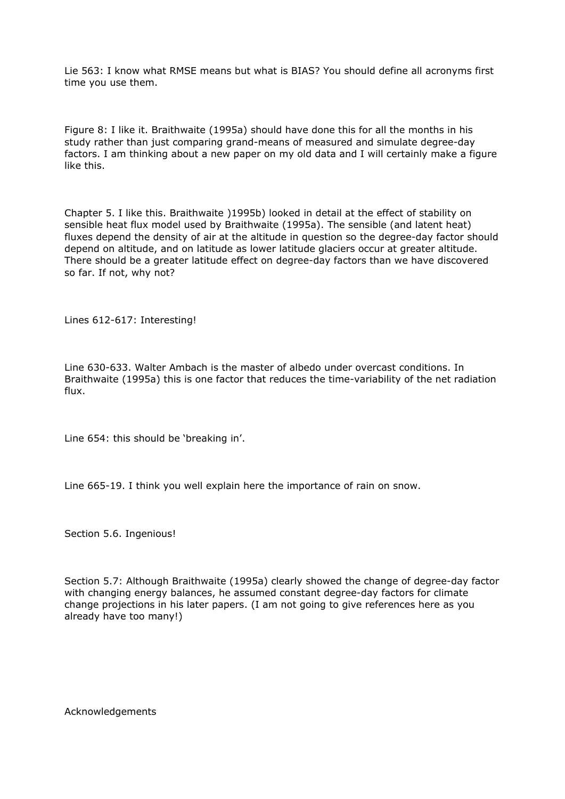Lie 563: I know what RMSE means but what is BIAS? You should define all acronyms first time you use them.

Figure 8: I like it. Braithwaite (1995a) should have done this for all the months in his study rather than just comparing grand-means of measured and simulate degree-day factors. I am thinking about a new paper on my old data and I will certainly make a figure like this.

Chapter 5. I like this. Braithwaite )1995b) looked in detail at the effect of stability on sensible heat flux model used by Braithwaite (1995a). The sensible (and latent heat) fluxes depend the density of air at the altitude in question so the degree-day factor should depend on altitude, and on latitude as lower latitude glaciers occur at greater altitude. There should be a greater latitude effect on degree-day factors than we have discovered so far. If not, why not?

Lines 612-617: Interesting!

Line 630-633. Walter Ambach is the master of albedo under overcast conditions. In Braithwaite (1995a) this is one factor that reduces the time-variability of the net radiation flux.

Line 654: this should be 'breaking in'.

Line 665-19. I think you well explain here the importance of rain on snow.

Section 5.6. Ingenious!

Section 5.7: Although Braithwaite (1995a) clearly showed the change of degree-day factor with changing energy balances, he assumed constant degree-day factors for climate change projections in his later papers. (I am not going to give references here as you already have too many!)

Acknowledgements